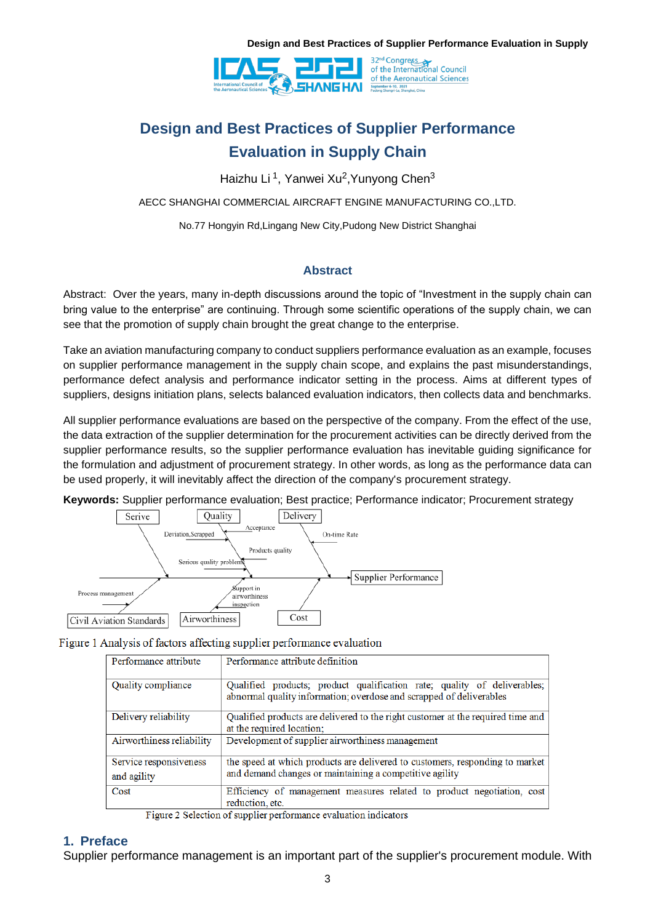

# **Design and Best Practices of Supplier Performance Evaluation in Supply Chain**

Haizhu Li <sup>1</sup>, Yanwei Xu<sup>2</sup>,Yunyong Chen<sup>3</sup>

AECC SHANGHAI COMMERCIAL AIRCRAFT ENGINE MANUFACTURING CO.,LTD.

No.77 Hongyin Rd,Lingang New City,Pudong New District Shanghai

#### **Abstract**

Abstract: Over the years, many in-depth discussions around the topic of "Investment in the supply chain can bring value to the enterprise" are continuing. Through some scientific operations of the supply chain, we can see that the promotion of supply chain brought the great change to the enterprise.

Take an aviation manufacturing company to conduct suppliers performance evaluation as an example, focuses on supplier performance management in the supply chain scope, and explains the past misunderstandings, performance defect analysis and performance indicator setting in the process. Aims at different types of suppliers, designs initiation plans, selects balanced evaluation indicators, then collects data and benchmarks.

All supplier performance evaluations are based on the perspective of the company. From the effect of the use, the data extraction of the supplier determination for the procurement activities can be directly derived from the supplier performance results, so the supplier performance evaluation has inevitable guiding significance for the formulation and adjustment of procurement strategy. In other words, as long as the performance data can be used properly, it will inevitably affect the direction of the company's procurement strategy.

**Keywords:** Supplier performance evaluation; Best practice; Performance indicator; Procurement strategy



Figure 1 Analysis of factors affecting supplier performance evaluation

| Performance attribute                 | Performance attribute definition                                                                                                                |  |  |  |  |
|---------------------------------------|-------------------------------------------------------------------------------------------------------------------------------------------------|--|--|--|--|
| Quality compliance                    | Qualified products; product qualification rate; quality of deliverables;<br>abnormal quality information; overdose and scrapped of deliverables |  |  |  |  |
| Delivery reliability                  | Qualified products are delivered to the right customer at the required time and<br>at the required location;                                    |  |  |  |  |
| Airworthiness reliability             | Development of supplier airworthiness management                                                                                                |  |  |  |  |
| Service responsiveness<br>and agility | the speed at which products are delivered to customers, responding to market<br>and demand changes or maintaining a competitive agility         |  |  |  |  |
| Cost                                  | Efficiency of management measures related to product negotiation, cost<br>reduction, etc.                                                       |  |  |  |  |

Figure 2 Selection of supplier performance evaluation indicators

#### **1. Preface**

Supplier performance management is an important part of the supplier's procurement module. With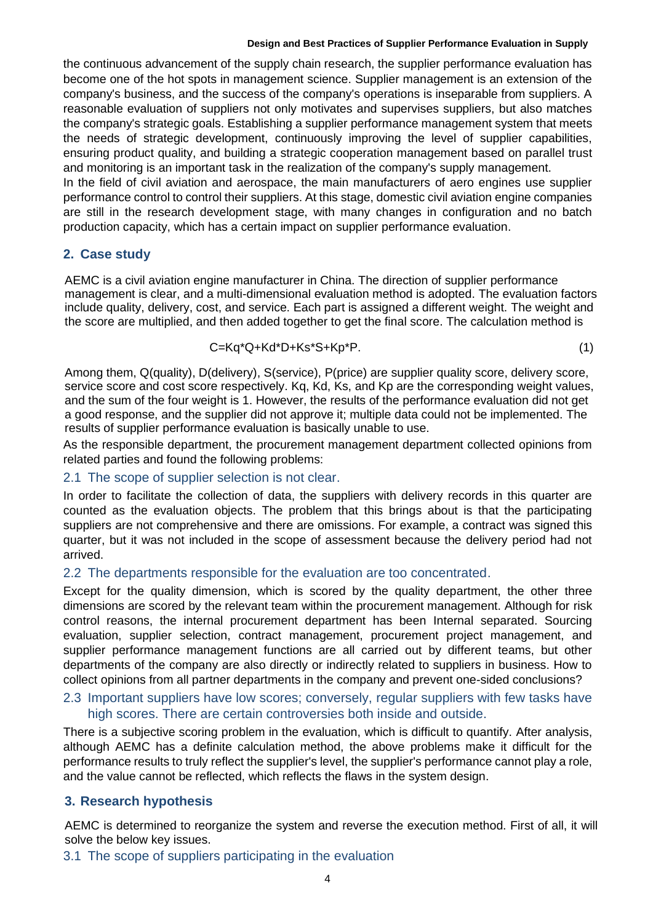the continuous advancement of the supply chain research, the supplier performance evaluation has become one of the hot spots in management science. Supplier management is an extension of the company's business, and the success of the company's operations is inseparable from suppliers. A reasonable evaluation of suppliers not only motivates and supervises suppliers, but also matches the company's strategic goals. Establishing a supplier performance management system that meets the needs of strategic development, continuously improving the level of supplier capabilities, ensuring product quality, and building a strategic cooperation management based on parallel trust and monitoring is an important task in the realization of the company's supply management. In the field of civil aviation and aerospace, the main manufacturers of aero engines use supplier performance control to control their suppliers. At this stage, domestic civil aviation engine companies are still in the research development stage, with many changes in configuration and no batch production capacity, which has a certain impact on supplier performance evaluation.

#### **2. Case study**

AEMC is a civil aviation engine manufacturer in China. The direction of supplier performance management is clear, and a multi-dimensional evaluation method is adopted. The evaluation factors include quality, delivery, cost, and service. Each part is assigned a different weight. The weight and the score are multiplied, and then added together to get the final score. The calculation method is

$$
C = Kq^*Q + Kd^*D + Ks^*S + Kp^*P. \tag{1}
$$

Among them, Q(quality), D(delivery), S(service), P(price) are supplier quality score, delivery score, service score and cost score respectively. Kq, Kd, Ks, and Kp are the corresponding weight values, and the sum of the four weight is 1. However, the results of the performance evaluation did not get a good response, and the supplier did not approve it; multiple data could not be implemented. The results of supplier performance evaluation is basically unable to use.

As the responsible department, the procurement management department collected opinions from related parties and found the following problems:

#### 2.1 The scope of supplier selection is not clear.

In order to facilitate the collection of data, the suppliers with delivery records in this quarter are counted as the evaluation objects. The problem that this brings about is that the participating suppliers are not comprehensive and there are omissions. For example, a contract was signed this quarter, but it was not included in the scope of assessment because the delivery period had not arrived.

#### 2.2 The departments responsible for the evaluation are too concentrated.

Except for the quality dimension, which is scored by the quality department, the other three dimensions are scored by the relevant team within the procurement management. Although for risk control reasons, the internal procurement department has been Internal separated. Sourcing evaluation, supplier selection, contract management, procurement project management, and supplier performance management functions are all carried out by different teams, but other departments of the company are also directly or indirectly related to suppliers in business. How to collect opinions from all partner departments in the company and prevent one-sided conclusions?

#### 2.3 Important suppliers have low scores; conversely, regular suppliers with few tasks have high scores. There are certain controversies both inside and outside.

There is a subjective scoring problem in the evaluation, which is difficult to quantify. After analysis, although AEMC has a definite calculation method, the above problems make it difficult for the performance results to truly reflect the supplier's level, the supplier's performance cannot play a role, and the value cannot be reflected, which reflects the flaws in the system design.

### **3. Research hypothesis**

AEMC is determined to reorganize the system and reverse the execution method. First of all, it will solve the below key issues.

#### 3.1 The scope of suppliers participating in the evaluation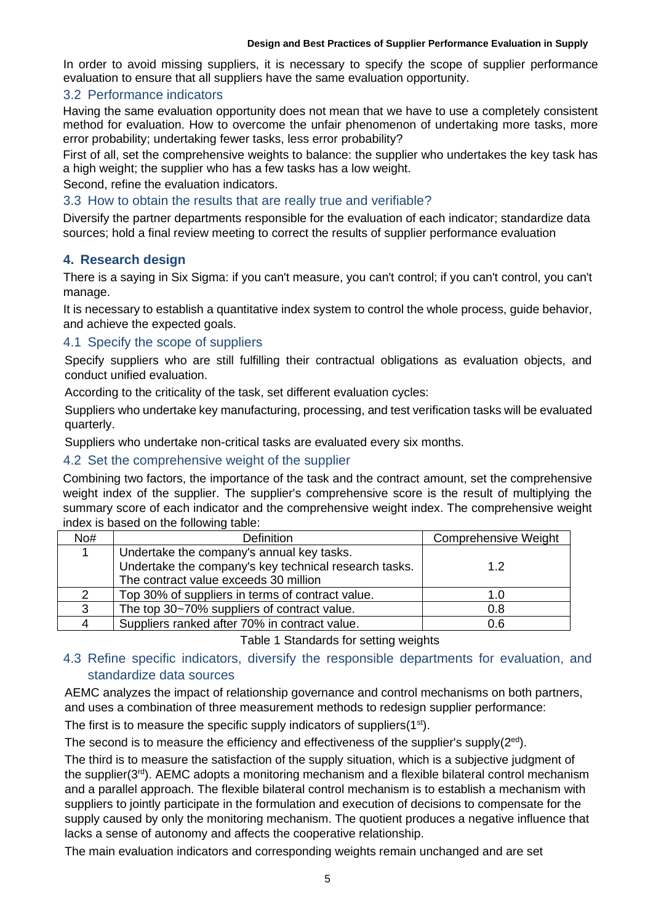**Chain** In order to avoid missing suppliers, it is necessary to specify the scope of supplier performance evaluation to ensure that all suppliers have the same evaluation opportunity.

# 3.2 Performance indicators

Having the same evaluation opportunity does not mean that we have to use a completely consistent method for evaluation. How to overcome the unfair phenomenon of undertaking more tasks, more error probability; undertaking fewer tasks, less error probability?

First of all, set the comprehensive weights to balance: the supplier who undertakes the key task has a high weight; the supplier who has a few tasks has a low weight.

Second, refine the evaluation indicators.

#### 3.3 How to obtain the results that are really true and verifiable?

Diversify the partner departments responsible for the evaluation of each indicator; standardize data sources; hold a final review meeting to correct the results of supplier performance evaluation

### **4. Research design**

There is a saying in Six Sigma: if you can't measure, you can't control; if you can't control, you can't manage.

It is necessary to establish a quantitative index system to control the whole process, guide behavior, and achieve the expected goals.

#### 4.1 Specify the scope of suppliers

Specify suppliers who are still fulfilling their contractual obligations as evaluation objects, and conduct unified evaluation.

According to the criticality of the task, set different evaluation cycles:

Suppliers who undertake key manufacturing, processing, and test verification tasks will be evaluated quarterly.

Suppliers who undertake non-critical tasks are evaluated every six months.

#### 4.2 Set the comprehensive weight of the supplier

Combining two factors, the importance of the task and the contract amount, set the comprehensive weight index of the supplier. The supplier's comprehensive score is the result of multiplying the summary score of each indicator and the comprehensive weight index. The comprehensive weight index is based on the following table:

| No# | <b>Definition</b>                                     | <b>Comprehensive Weight</b> |  |
|-----|-------------------------------------------------------|-----------------------------|--|
|     | Undertake the company's annual key tasks.             |                             |  |
|     | Undertake the company's key technical research tasks. | 1.2                         |  |
|     | The contract value exceeds 30 million                 |                             |  |
|     | Top 30% of suppliers in terms of contract value.      | 1.0                         |  |
| 3   | The top 30~70% suppliers of contract value.           | 0.8                         |  |
|     | Suppliers ranked after 70% in contract value.         | 0.6                         |  |

Table 1 Standards for setting weights

### 4.3 Refine specific indicators, diversify the responsible departments for evaluation, and standardize data sources

AEMC analyzes the impact of relationship governance and control mechanisms on both partners, and uses a combination of three measurement methods to redesign supplier performance:

The first is to measure the specific supply indicators of suppliers(1<sup>st</sup>).

The second is to measure the efficiency and effectiveness of the supplier's supply( $2^{ed}$ ).

The third is to measure the satisfaction of the supply situation, which is a subjective judgment of the supplier( $3<sup>rd</sup>$ ). AEMC adopts a monitoring mechanism and a flexible bilateral control mechanism and a parallel approach. The flexible bilateral control mechanism is to establish a mechanism with suppliers to jointly participate in the formulation and execution of decisions to compensate for the supply caused by only the monitoring mechanism. The quotient produces a negative influence that lacks a sense of autonomy and affects the cooperative relationship.

The main evaluation indicators and corresponding weights remain unchanged and are set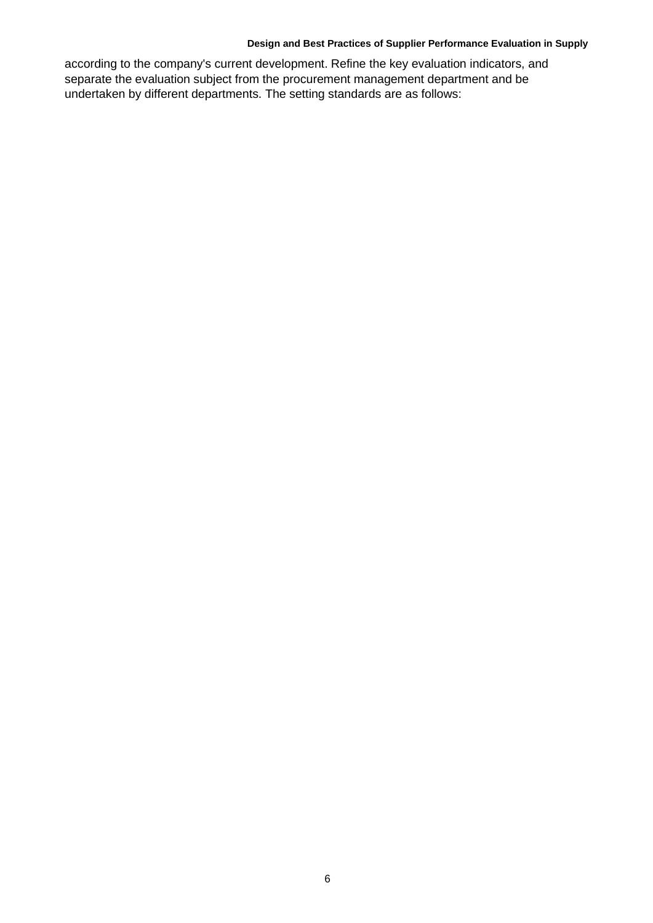**Chain** according to the company's current development. Refine the key evaluation indicators, and separate the evaluation subject from the procurement management department and be undertaken by different departments. The setting standards are as follows: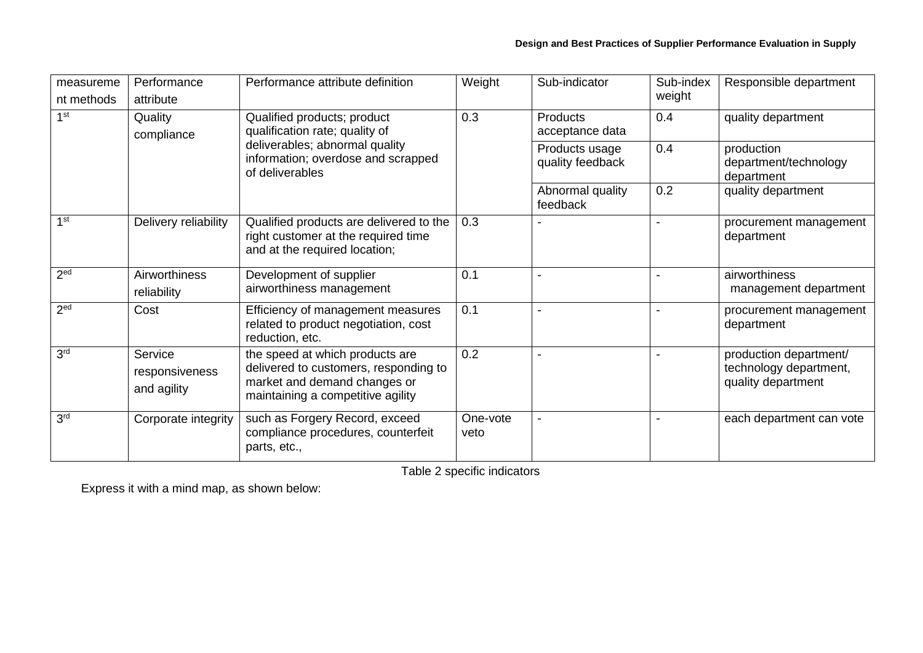| measureme                  | Performance                              | Performance attribute definition                                                                                                                         | Weight           | Sub-indicator                      | Sub-index | Responsible department                                                 |
|----------------------------|------------------------------------------|----------------------------------------------------------------------------------------------------------------------------------------------------------|------------------|------------------------------------|-----------|------------------------------------------------------------------------|
| nt methods                 | attribute                                |                                                                                                                                                          |                  |                                    | weight    |                                                                        |
| 1 <sup>st</sup><br>Quality | compliance                               | Qualified products; product<br>qualification rate; quality of<br>deliverables; abnormal quality<br>information; overdose and scrapped<br>of deliverables | 0.3              | <b>Products</b><br>acceptance data | 0.4       | quality department                                                     |
|                            |                                          |                                                                                                                                                          |                  | Products usage<br>quality feedback | 0.4       | production<br>department/technology<br>department                      |
|                            |                                          |                                                                                                                                                          |                  | Abnormal quality<br>feedback       | 0.2       | quality department                                                     |
| 1 <sup>st</sup>            | Delivery reliability                     | Qualified products are delivered to the<br>right customer at the required time<br>and at the required location;                                          | 0.3              |                                    |           | procurement management<br>department                                   |
| 2 <sup>ed</sup>            | Airworthiness<br>reliability             | Development of supplier<br>airworthiness management                                                                                                      | 0.1              |                                    |           | airworthiness<br>management department                                 |
| 2 <sup>ed</sup>            | Cost                                     | Efficiency of management measures<br>related to product negotiation, cost<br>reduction, etc.                                                             | 0.1              |                                    |           | procurement management<br>department                                   |
| 3 <sup>rd</sup>            | Service<br>responsiveness<br>and agility | the speed at which products are<br>delivered to customers, responding to<br>market and demand changes or<br>maintaining a competitive agility            | 0.2              |                                    |           | production department/<br>technology department,<br>quality department |
| 3 <sup>rd</sup>            | Corporate integrity                      | such as Forgery Record, exceed<br>compliance procedures, counterfeit<br>parts, etc.,                                                                     | One-vote<br>veto |                                    |           | each department can vote                                               |

Table 2 specific indicators

Express it with a mind map, as shown below: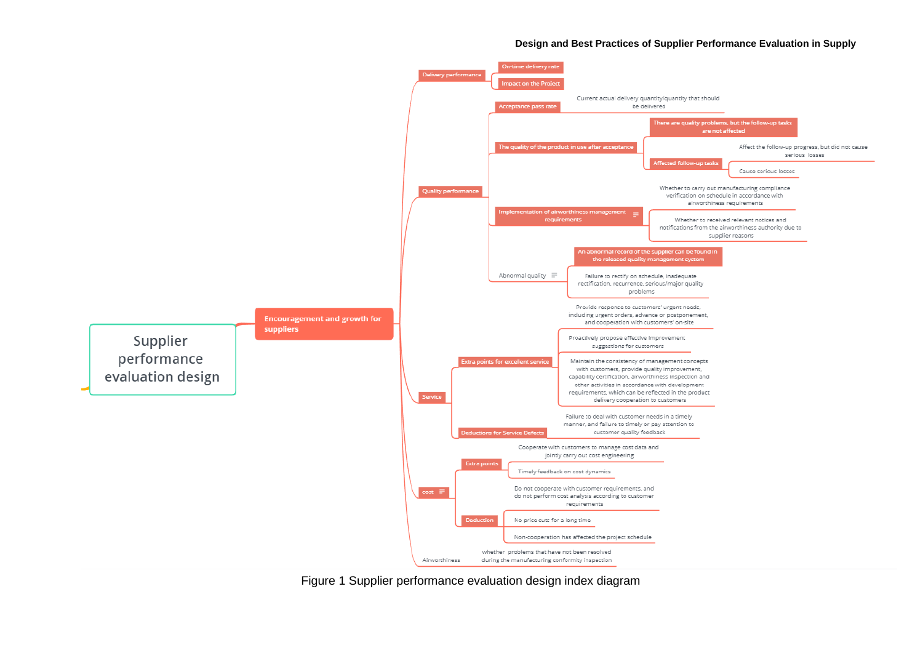

Figure 1 Supplier performance evaluation design index diagram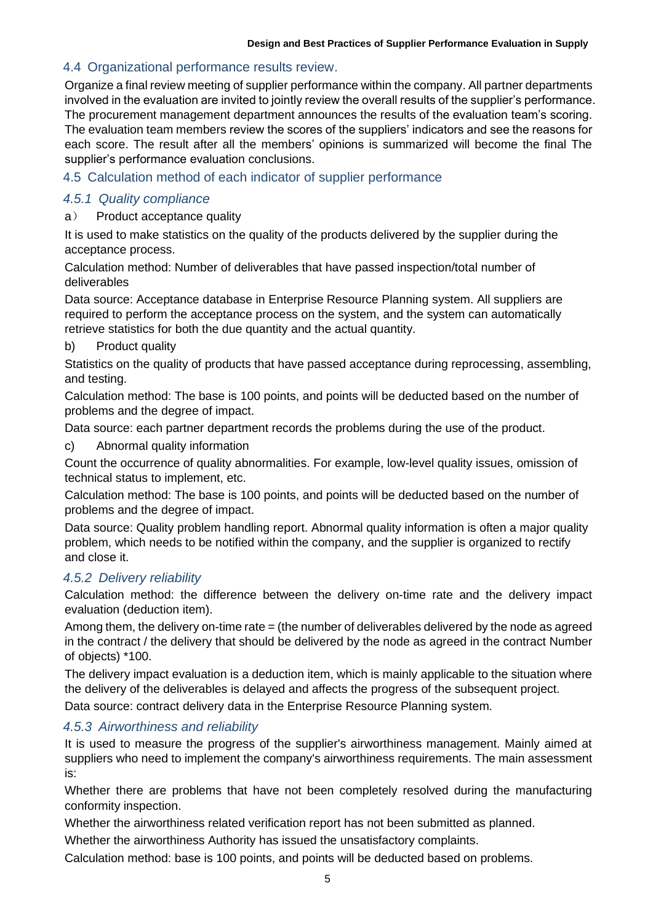# 4.4 Organizational performance results review.

Organize a final review meeting of supplier performance within the company. All partner departments involved in the evaluation are invited to jointly review the overall results of the supplier's performance. The procurement management department announces the results of the evaluation team's scoring. The evaluation team members review the scores of the suppliers' indicators and see the reasons for each score. The result after all the members' opinions is summarized will become the final The supplier's performance evaluation conclusions.

# 4.5 Calculation method of each indicator of supplier performance

# *4.5.1 Quality compliance*

#### a) Product acceptance quality

It is used to make statistics on the quality of the products delivered by the supplier during the acceptance process.

Calculation method: Number of deliverables that have passed inspection/total number of deliverables

Data source: Acceptance database in Enterprise Resource Planning system. All suppliers are required to perform the acceptance process on the system, and the system can automatically retrieve statistics for both the due quantity and the actual quantity.

#### b) Product quality

Statistics on the quality of products that have passed acceptance during reprocessing, assembling, and testing.

Calculation method: The base is 100 points, and points will be deducted based on the number of problems and the degree of impact.

Data source: each partner department records the problems during the use of the product.

c) Abnormal quality information

Count the occurrence of quality abnormalities. For example, low-level quality issues, omission of technical status to implement, etc.

Calculation method: The base is 100 points, and points will be deducted based on the number of problems and the degree of impact.

Data source: Quality problem handling report. Abnormal quality information is often a major quality problem, which needs to be notified within the company, and the supplier is organized to rectify and close it.

### *4.5.2 Delivery reliability*

Calculation method: the difference between the delivery on-time rate and the delivery impact evaluation (deduction item).

Among them, the delivery on-time rate = (the number of deliverables delivered by the node as agreed in the contract / the delivery that should be delivered by the node as agreed in the contract Number of objects) \*100.

The delivery impact evaluation is a deduction item, which is mainly applicable to the situation where the delivery of the deliverables is delayed and affects the progress of the subsequent project.

Data source: contract delivery data in the Enterprise Resource Planning system.

# *4.5.3 Airworthiness and reliability*

It is used to measure the progress of the supplier's airworthiness management. Mainly aimed at suppliers who need to implement the company's airworthiness requirements. The main assessment is:

Whether there are problems that have not been completely resolved during the manufacturing conformity inspection.

Whether the airworthiness related verification report has not been submitted as planned.

Whether the airworthiness Authority has issued the unsatisfactory complaints.

Calculation method: base is 100 points, and points will be deducted based on problems.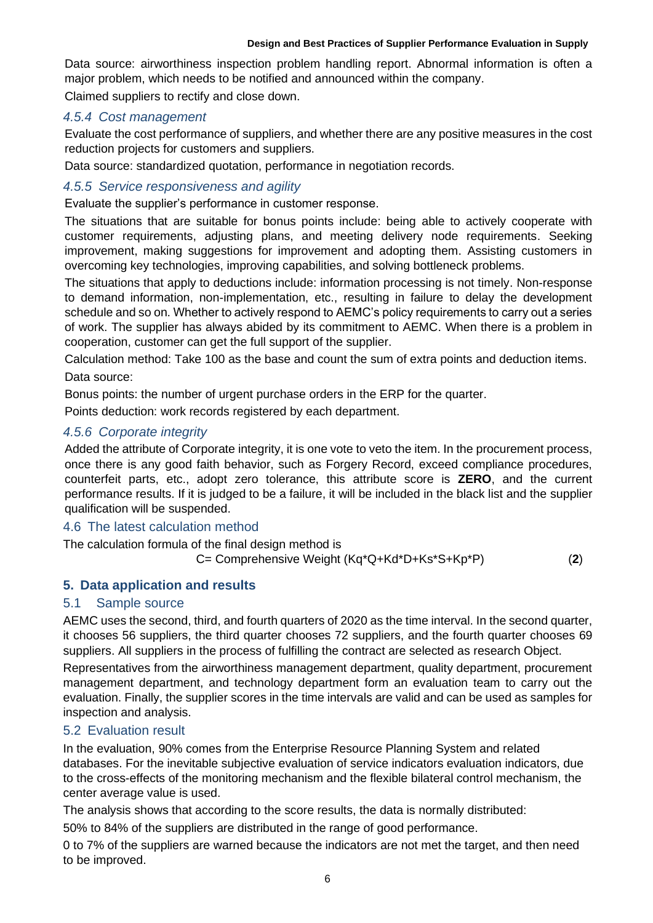**Chain** Data source: airworthiness inspection problem handling report. Abnormal information is often a major problem, which needs to be notified and announced within the company.

Claimed suppliers to rectify and close down.

# *4.5.4 Cost management*

Evaluate the cost performance of suppliers, and whether there are any positive measures in the cost reduction projects for customers and suppliers.

Data source: standardized quotation, performance in negotiation records.

# *4.5.5 Service responsiveness and agility*

Evaluate the supplier's performance in customer response.

The situations that are suitable for bonus points include: being able to actively cooperate with customer requirements, adjusting plans, and meeting delivery node requirements. Seeking improvement, making suggestions for improvement and adopting them. Assisting customers in overcoming key technologies, improving capabilities, and solving bottleneck problems.

The situations that apply to deductions include: information processing is not timely. Non-response to demand information, non-implementation, etc., resulting in failure to delay the development schedule and so on. Whether to actively respond to AEMC's policy requirements to carry out a series of work. The supplier has always abided by its commitment to AEMC. When there is a problem in cooperation, customer can get the full support of the supplier.

Calculation method: Take 100 as the base and count the sum of extra points and deduction items.

Data source:

Bonus points: the number of urgent purchase orders in the ERP for the quarter.

Points deduction: work records registered by each department.

# *4.5.6 Corporate integrity*

Added the attribute of Corporate integrity, it is one vote to veto the item. In the procurement process, once there is any good faith behavior, such as Forgery Record, exceed compliance procedures, counterfeit parts, etc., adopt zero tolerance, this attribute score is **ZERO**, and the current performance results. If it is judged to be a failure, it will be included in the black list and the supplier qualification will be suspended.

### 4.6 The latest calculation method

The calculation formula of the final design method is

C= Comprehensive Weight (Kq\*Q+Kd\*D+Ks\*S+Kp\*P) (**2**)

# **5. Data application and results**

### 5.1 Sample source

AEMC uses the second, third, and fourth quarters of 2020 as the time interval. In the second quarter, it chooses 56 suppliers, the third quarter chooses 72 suppliers, and the fourth quarter chooses 69 suppliers. All suppliers in the process of fulfilling the contract are selected as research Object.

Representatives from the airworthiness management department, quality department, procurement management department, and technology department form an evaluation team to carry out the evaluation. Finally, the supplier scores in the time intervals are valid and can be used as samples for inspection and analysis.

### 5.2 Evaluation result

In the evaluation, 90% comes from the Enterprise Resource Planning System and related databases. For the inevitable subjective evaluation of service indicators evaluation indicators, due to the cross-effects of the monitoring mechanism and the flexible bilateral control mechanism, the center average value is used.

The analysis shows that according to the score results, the data is normally distributed:

50% to 84% of the suppliers are distributed in the range of good performance.

0 to 7% of the suppliers are warned because the indicators are not met the target, and then need to be improved.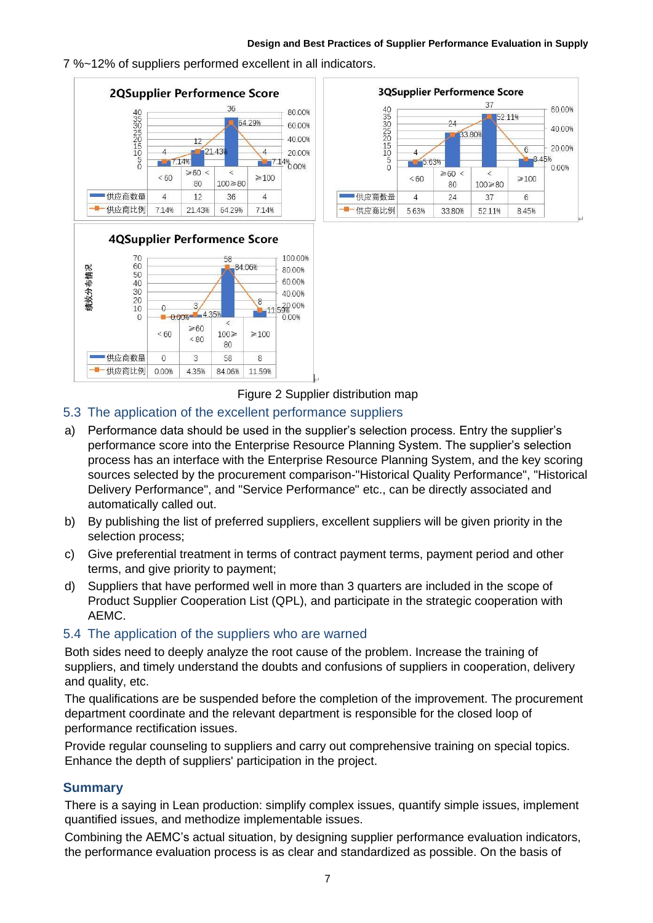**Chain** 7 %~12% of suppliers performed excellent in all indicators.





Figure 2 Supplier distribution map

# 5.3 The application of the excellent performance suppliers

- a) Performance data should be used in the supplier's selection process. Entry the supplier's performance score into the Enterprise Resource Planning System. The supplier's selection process has an interface with the Enterprise Resource Planning System, and the key scoring sources selected by the procurement comparison-"Historical Quality Performance", "Historical Delivery Performance", and "Service Performance" etc., can be directly associated and automatically called out.
- b) By publishing the list of preferred suppliers, excellent suppliers will be given priority in the selection process;
- c) Give preferential treatment in terms of contract payment terms, payment period and other terms, and give priority to payment;
- d) Suppliers that have performed well in more than 3 quarters are included in the scope of Product Supplier Cooperation List (QPL), and participate in the strategic cooperation with AEMC.

### 5.4 The application of the suppliers who are warned

Both sides need to deeply analyze the root cause of the problem. Increase the training of suppliers, and timely understand the doubts and confusions of suppliers in cooperation, delivery and quality, etc.

The qualifications are be suspended before the completion of the improvement. The procurement department coordinate and the relevant department is responsible for the closed loop of performance rectification issues.

Provide regular counseling to suppliers and carry out comprehensive training on special topics. Enhance the depth of suppliers' participation in the project.

### **Summary**

There is a saying in Lean production: simplify complex issues, quantify simple issues, implement quantified issues, and methodize implementable issues.

Combining the AEMC's actual situation, by designing supplier performance evaluation indicators, the performance evaluation process is as clear and standardized as possible. On the basis of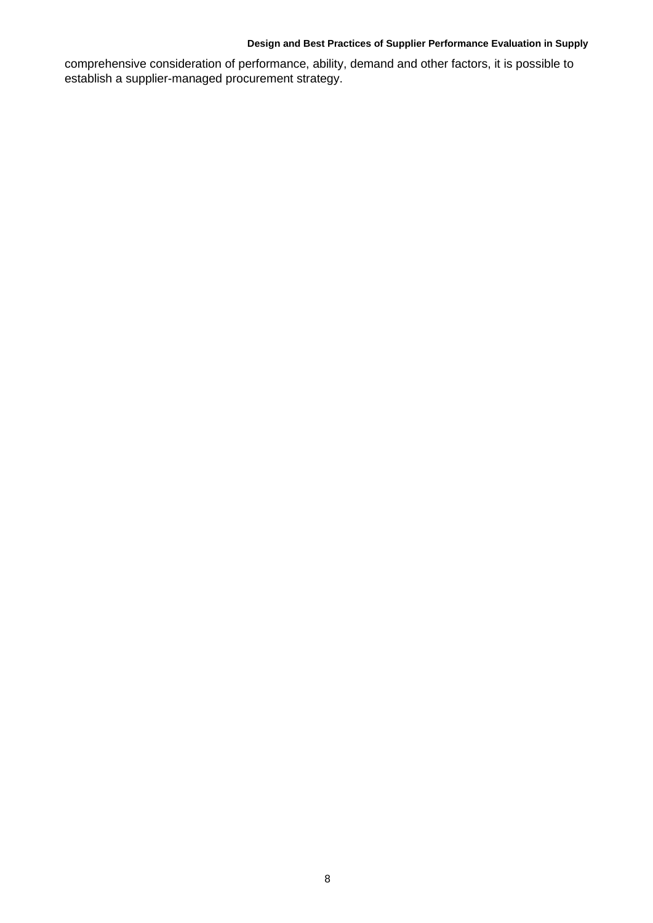**Chain** comprehensive consideration of performance, ability, demand and other factors, it is possible to establish a supplier-managed procurement strategy.